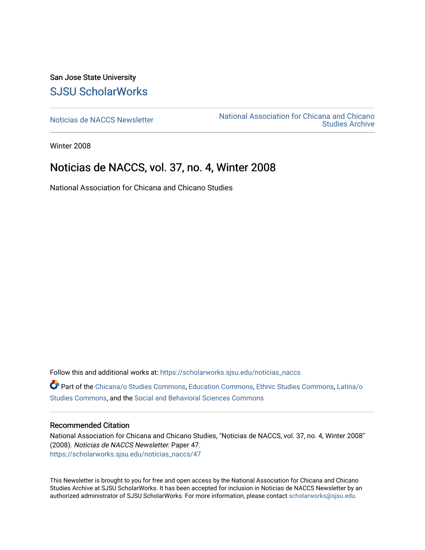San Jose State University [SJSU ScholarWorks](https://scholarworks.sjsu.edu/) 

[Noticias de NACCS Newsletter](https://scholarworks.sjsu.edu/noticias_naccs) National Association for Chicana and Chicano [Studies Archive](https://scholarworks.sjsu.edu/naccs_archives) 

Winter 2008

## Noticias de NACCS, vol. 37, no. 4, Winter 2008

National Association for Chicana and Chicano Studies

Follow this and additional works at: [https://scholarworks.sjsu.edu/noticias\\_naccs](https://scholarworks.sjsu.edu/noticias_naccs?utm_source=scholarworks.sjsu.edu%2Fnoticias_naccs%2F47&utm_medium=PDF&utm_campaign=PDFCoverPages) Part of the [Chicana/o Studies Commons](http://network.bepress.com/hgg/discipline/569?utm_source=scholarworks.sjsu.edu%2Fnoticias_naccs%2F47&utm_medium=PDF&utm_campaign=PDFCoverPages), [Education Commons,](http://network.bepress.com/hgg/discipline/784?utm_source=scholarworks.sjsu.edu%2Fnoticias_naccs%2F47&utm_medium=PDF&utm_campaign=PDFCoverPages) [Ethnic Studies Commons](http://network.bepress.com/hgg/discipline/570?utm_source=scholarworks.sjsu.edu%2Fnoticias_naccs%2F47&utm_medium=PDF&utm_campaign=PDFCoverPages), [Latina/o](http://network.bepress.com/hgg/discipline/1315?utm_source=scholarworks.sjsu.edu%2Fnoticias_naccs%2F47&utm_medium=PDF&utm_campaign=PDFCoverPages)  [Studies Commons,](http://network.bepress.com/hgg/discipline/1315?utm_source=scholarworks.sjsu.edu%2Fnoticias_naccs%2F47&utm_medium=PDF&utm_campaign=PDFCoverPages) and the [Social and Behavioral Sciences Commons](http://network.bepress.com/hgg/discipline/316?utm_source=scholarworks.sjsu.edu%2Fnoticias_naccs%2F47&utm_medium=PDF&utm_campaign=PDFCoverPages)

#### Recommended Citation

National Association for Chicana and Chicano Studies, "Noticias de NACCS, vol. 37, no. 4, Winter 2008" (2008). Noticias de NACCS Newsletter. Paper 47. [https://scholarworks.sjsu.edu/noticias\\_naccs/47](https://scholarworks.sjsu.edu/noticias_naccs/47?utm_source=scholarworks.sjsu.edu%2Fnoticias_naccs%2F47&utm_medium=PDF&utm_campaign=PDFCoverPages) 

This Newsletter is brought to you for free and open access by the National Association for Chicana and Chicano Studies Archive at SJSU ScholarWorks. It has been accepted for inclusion in Noticias de NACCS Newsletter by an authorized administrator of SJSU ScholarWorks. For more information, please contact [scholarworks@sjsu.edu.](mailto:scholarworks@sjsu.edu)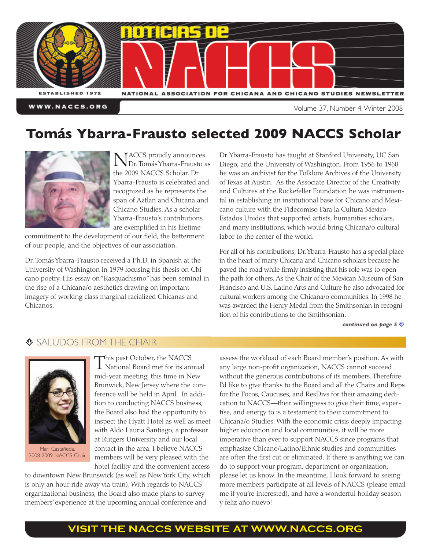

# **Tomás Ybarra-Frausto selected 2009 NACCS Scholar**



NACCS proudly announces<br>Dr. Tomás Ybarra-Frausto as the 2009 NACCS Scholar. Dr. Ybarra-Frausto is celebrated and recognized as he represents the span of Aztlan and Chicana and Chicano Studies. As a scholar Ybarra-Frausto's contributions are exemplified in his lifetime

commitment to the development of our field, the betterment of our people, and the objectives of our association.

Dr. TomásYbarra-Frausto received a Ph.D. in Spanish at the University of Washington in 1979 focusing his thesis on Chicano poetry. His essay on"Rasquachismo"has been seminal in the rise of a Chicana/o aesthetics drawing on important imagery of working class marginal racialized Chicanas and Chicanos.

Dr.Ybarra-Frausto has taught at Stanford University, UC San Diego, and the University of Washington. From 1956 to 1960 he was an archivist for the Folklore Archives of the University of Texas at Austin. As the Associate Director of the Creativity and Cultures at the Rockefeller Foundation he was instrumental in establishing an institutional base for Chicano and Mexicano culture with the Fidecomiso Para la Cultura Mexico-Estados Unidos that supported artists, humanities scholars, and many institutions, which would bring Chicana/o cultural labor to the center of the world.

For all of his contributions, Dr.Ybarra-Frausto has a special place in the heart of many Chicana and Chicano scholars because he paved the road while firmly insisting that his role was to open the path for others. As the Chair of the Mexican Museum of San Francisco and U.S. Latino Arts and Culture he also advocated for cultural workers among the Chicana/o communities. In 1998 he was awarded the Henry Medal from the Smithsonian in recognition of his contributions to the Smithsonian.

*[continued](#page-5-0) on page*  $5 \diamondsuit$ 

#### $\bullet$  **SALUDOS FROM THE CHAIR**



Mari Castañeda, 2008-2009 NACCS Chair

This past October, the NACCS National Board met for its annual mid-year meeting, this time in New Brunwick, New Jersey where the conference will be held in April. In addition to conducting NACCS business, the Board also had the opportunity to inspect the Hyatt Hotel as well as meet with Aldo Lauria Santiago, a professor at Rutgers University and our local contact in the area. I believe NACCS members will be very pleased with the hotel facility and the convenient access

to downtown New Brunswick (as well as NewYork City, which is only an hour ride away via train). With regards to NACCS organizational business, the Board also made plans to survey members' experience at the upcoming annual conference and

assess the workload of each Board member's position. As with any large non-profit organization, NACCS cannot succeed without the generous contributions of its members. Therefore I'd like to give thanks to the Board and all the Chairs and Reps for the Focos, Caucuses, and ResDivs for their amazing dedication to NACCS—their willingness to give their time, expertise, and energy to is a testament to their commitment to Chicana/o Studies. With the economic crisis deeply impacting higher education and local communities, it will be more imperative than ever to support NACCS since programs that emphasize Chicano/Latino/Ethnic studies and communities are often the first cut or eliminated. If there is anything we can do to support your program, department or organization, please let us know. In the meantime, I look forward to seeing more members participate at all levels of NACCS (please email me if you're interested), and have a wonderful holiday season y feliz año nuevo!

### **VISIT THE NACCS WEBSITE AT [WWW.NACCS.ORG](http://www.naccs.org)**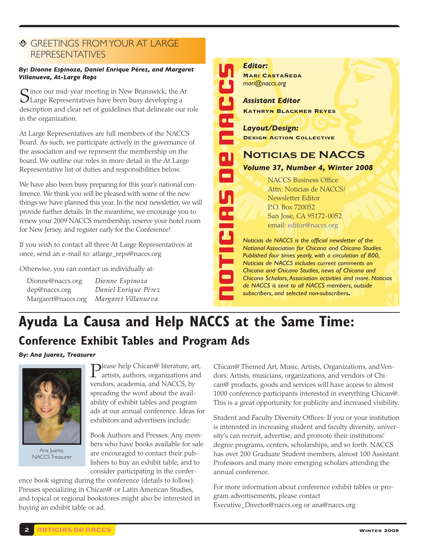#### **E** GREETINGS FROM YOUR AT LARGE REPRESENTATIVES

#### *By: Dionne Espinoza, Daniel Enrique Pérez, and Margaret Villanueva, At-Large Reps*

 $\mathbf C$  ince our mid-year meeting in New Brunswick, the At  $\bigcup$  Large Representatives have been busy developing a description and clear set of guidelines that delineate our role in the organization.

At Large Representatives are full members of the NACCS Board. As such, we participate actively in the governance of the association and we represent the membership on the board. We outline our roles in more detail in the At Large Representative list of duties and responsibilities below.

We have also been busy preparing for this year's national conference. We think you will be pleased with some of the new things we have planned this year. In the next newsletter, we will provide further details. In the meantime, we encourage you to renew your 2009 NACCS membership, reserve your hotel room for New Jersey, and register early for the Conference!

If you wish to contact all three At Large Representatives at once, send an e-mail to: atlarge\_reps@naccs.org

Otherwise, you can contact us individually at:

| Dionne@naccs.org   | Dionne Espinoza      |
|--------------------|----------------------|
| dep@naccs.org      | Daniel Enrique Pérez |
| Margaret@naccs.org | Margaret Villanueva  |



NACCS Business Office Attn: Noticias de NACCS/ Newsletter Editor P.O. Box 720052 San Jose, CA 95172-0052 email: [editor@naccs.org](mailto:editor@naccs.org) *Noticias de NACCS is the official newsletter of the National Association for Chicana and Chicano Studies.*

*Published four times yearly, with a circulation of 800, Noticias de NACCS includes current comments on Chicana and Chicano Studies, news of Chicana and Chicano Scholars,Association activities and more. Noticias de NACCS is sent to all NACCS members, outside subscribers, and selected non-subscribers.*

# **Ayuda La Causa and Help NACCS at the Same Time: Conference Exhibit Tables and Program Ads**

*By: Ana Juarez, Treasurer*



Ana Juarez, NACCS Treasurer

**P**lease help Chican@ literature, art,<br>artists, authors, organizations and vendors, academia, and NACCS, by spreading the word about the availability of exhibit tables and program ads at our annual conference. Ideas for exhibitors and advertisers include:

Book Authors and Presses: Any members who have books available for sale are encouraged to contact their publishers to buy an exhibit table, and to consider participating in the confer-

ence book signing during the conference (details to follow). Presses specializing in Chican@ or Latin American Studies, and topical or regional bookstores might also be interested in buying an exhibit table or ad.

Chican@ Themed Art, Music, Artists, Organizations, and Vendors: Artists, musicians, organizations, and vendors of Chican@ products, goods and services will have access to almost 1000 conference participants interested in everything Chican@. This is a great opportunity for publicity and increased visibility.

Student and Faculty Diversity Offices: If you or your institution is interested in increasing student and faculty diversity, university's can recruit, advertise, and promote their institutions' degree programs, centers, scholarships, and so forth. NACCS has over 200 Graduate Student members, almost 100 Assistant Professors and many more emerging scholars attending the annual conference.

For more information about conference exhibit tables or program advertisements, please contact Executive\_Director@naccs.org or ana@naccs.org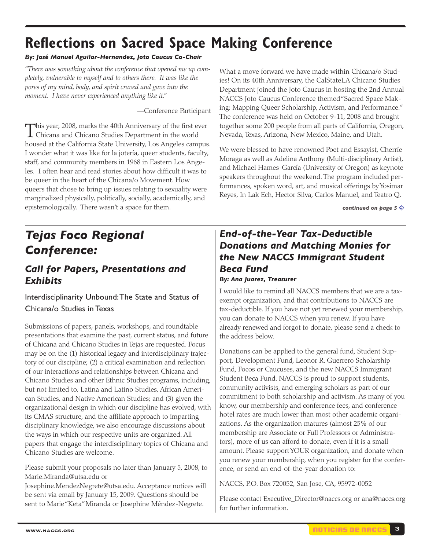# **Reflections on Sacred Space Making Conference**

#### *By: José Manuel Aguilar-Hernandez, Joto Caucus Co-Chair*

*"There was something about the conference that opened me up completely, vulnerable to myself and to others there. It was like the pores of my mind, body, and spirit craved and gave into the moment. I have never experienced anything like it."*

—Conference Participant

This year, 2008, marks the 40th Anniversary of the first ever<br>Chicana and Chicano Studies Department in the world housed at the California State University, Los Angeles campus. I wonder what it was like for la jotería, queer students, faculty, staff, and community members in 1968 in Eastern Los Angeles. I often hear and read stories about how difficult it was to be queer in the heart of the Chicana/o Movement. How queers that chose to bring up issues relating to sexuality were marginalized physically, politically, socially, academically, and epistemologically. There wasn't a space for them.

What a move forward we have made within Chicana/o Studies! On its 40th Anniversary, the CalStateLA Chicano Studies Department joined the Joto Caucus in hosting the 2nd Annual NACCS Joto Caucus Conference themed"Sacred Space Making: Mapping Queer Scholarship, Activism, and Performance." The conference was held on October 9-11, 2008 and brought together some 200 people from all parts of California, Oregon, Nevada, Texas, Arizona, New Mexico, Maine, and Utah.

We were blessed to have renowned Poet and Essayist, Cherríe Moraga as well as Adelina Anthony (Multi-disciplinary Artist), and Michael Hames-García (University of Oregon) as keynote speakers throughout the weekend. The program included performances, spoken word, art, and musical offerings byYosimar Reyes, In Lak Ech, Hector Silva, Carlos Manuel, and Teatro Q.

*[continued](#page-5-0) on page*  $5 \diamondsuit$ 

# *Tejas Foco Regional Conference:*

### *Call for Papers, Presentations and Exhibits*

Interdisciplinarity Unbound:The State and Status of Chicana/o Studies in Texas

Submissions of papers, panels, workshops, and roundtable presentations that examine the past, current status, and future of Chicana and Chicano Studies in Tejas are requested. Focus may be on the (1) historical legacy and interdisciplinary trajectory of our discipline; (2) a critical examination and reflection of our interactions and relationships between Chicana and Chicano Studies and other Ethnic Studies programs, including, but not limited to, Latina and Latino Studies, African American Studies, and Native American Studies; and (3) given the organizational design in which our discipline has evolved, with its CMAS structure, and the affiliate approach to imparting disciplinary knowledge, we also encourage discussions about the ways in which our respective units are organized. All papers that engage the interdisciplinary topics of Chicana and Chicano Studies are welcome.

Please submit your proposals no later than January 5, 2008, to Marie.Miranda@utsa.edu or

Josephine.MendezNegrete@utsa.edu. Acceptance notices will be sent via email by January 15, 2009. Questions should be sent to Marie"Keta"Miranda or Josephine Méndez-Negrete.

### *End-of-the-Year Tax-Deductible Donations and Matching Monies for the New NACCS Immigrant Student Beca Fund By: Ana Juarez, Treasurer*

I would like to remind all NACCS members that we are a taxexempt organization, and that contributions to NACCS are tax-deductible. If you have not yet renewed your membership, you can donate to NACCS when you renew. If you have already renewed and forgot to donate, please send a check to the address below.

Donations can be applied to the general fund, Student Support, Development Fund, Leonor R. Guerrero Scholarship Fund, Focos or Caucuses, and the new NACCS Immigrant Student Beca Fund. NACCS is proud to support students, community activists, and emerging scholars as part of our commitment to both scholarship and activism. As many of you know, our membership and conference fees, and conference hotel rates are much lower than most other academic organizations. As the organization matures (almost 25% of our membership are Associate or Full Professors or Administrators), more of us can afford to donate, even if it is a small amount. Please supportYOUR organization, and donate when you renew your membership, when you register for the conference, or send an end-of-the-year donation to:

NACCS, P.O. Box 720052, San Jose, CA, 95972-0052

Please contact Executive\_Director@naccs.org or ana@naccs.org for further information.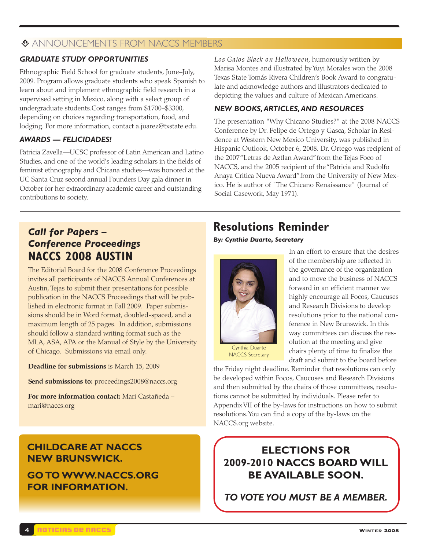#### **EXANNOUNCEMENTS FROM NACCS MEMBERS**

#### *GRADUATE STUDY OPPORTUNITIES*

Ethnographic Field School for graduate students, June–July, 2009. Program allows graduate students who speak Spanish to learn about and implement ethnographic field research in a supervised setting in Mexico, along with a select group of undergraduate students.Cost ranges from \$1700–\$3300, depending on choices regarding transportation, food, and lodging. For more information, contact a.juarez@txstate.edu.

#### *AWARDS — FELICIDADES!*

Patricia Zavella—UCSC professor of Latin American and Latino Studies, and one of the world's leading scholars in the fields of feminist ethnography and Chicana studies—was honored at the UC Santa Cruz second annual Founders Day gala dinner in October for her extraordinary academic career and outstanding contributions to society.

*Call for Papers – Conference Proceedings* **NACCS 2008 AUSTIN**

The Editorial Board for the 2008 Conference Proceedings invites all participants of NACCS Annual Conferences at Austin, Tejas to submit their presentations for possible publication in the NACCS Proceedings that will be published in electronic format in Fall 2009. Paper submissions should be in Word format, doubled-spaced, and a maximum length of 25 pages. In addition, submissions should follow a standard writing format such as the MLA, ASA, APA or the Manual of Style by the University of Chicago. Submissions via email only.

**Deadline for submissions** is March 15, 2009

**Send submissions to:** proceedings2008@naccs.org

**For more information contact:** Mari Castañeda – mari@naccs.org

## **CHILDCARE AT NACCS NEW BRUNSWICK. GO TOWWW.NACCS.ORG FOR INFORMATION.**

*Los Gatos Black on Halloween*, humorously written by Marisa Montes and illustrated byYuyi Morales won the 2008 Texas State Tomás Rivera Children's Book Award to congratulate and acknowledge authors and illustrators dedicated to depicting the values and culture of Mexican Americans.

#### *NEW BOOKS,ARTICLES,AND RESOURCES*

The presentation "Why Chicano Studies?" at the 2008 NACCS Conference by Dr. Felipe de Ortego y Gasca, Scholar in Residence at Western New Mexico University, was published in Hispanic Outlook, October 6, 2008. Dr. Ortego was recipient of the 2007"Letras de Aztlan Award"from the Tejas Foco of NACCS, and the 2005 recipient of the"Patricia and Rudolfo Anaya Critica Nueva Award"from the University of New Mexico. He is author of "The Chicano Renaissance" (Journal of Social Casework, May 1971).

# **Resolutions Reminder**

*By: Cynthia Duarte, Secretary*



In an effort to ensure that the desires of the membership are reflected in the governance of the organization and to move the business of NACCS forward in an efficient manner we highly encourage all Focos, Caucuses and Research Divisions to develop resolutions prior to the national conference in New Brunswick. In this way committees can discuss the resolution at the meeting and give chairs plenty of time to finalize the draft and submit to the board before

Cynthia Duarte NACCS Secretary

the Friday night deadline. Reminder that resolutions can only be developed within Focos, Caucuses and Research Divisions and then submitted by the chairs of those committees, resolutions cannot be submitted by individuals. Please refer to AppendixVII of the by-laws for instructions on how to submit resolutions.You can find a copy of the by-laws on the NACCS.org website.

## **ELECTIONS FOR 2009-2010 NACCS BOARDWILL BE AVAILABLE SOON.**

*TO VOTE YOU MUST BE A MEMBER.*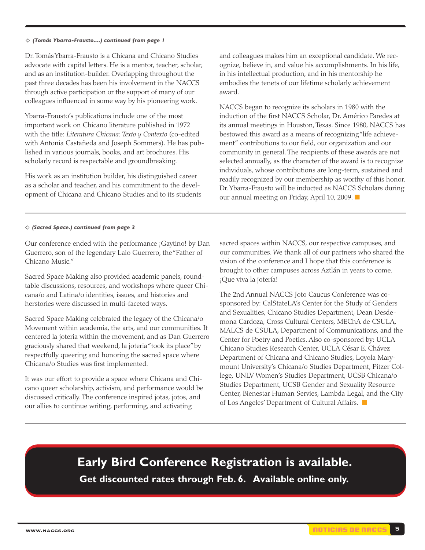#### <span id="page-5-0"></span>m *(Tomás Ybarra-Frausto....) continued from page 1*

Dr. TomásYbarra-Frausto is a Chicana and Chicano Studies advocate with capital letters. He is a mentor, teacher, scholar, and as an institution-builder. Overlapping throughout the past three decades has been his involvement in the NACCS through active participation or the support of many of our colleagues influenced in some way by his pioneering work.

Ybarra-Frausto's publications include one of the most important work on Chicano literature published in 1972 with the title: *Literatura Chicana: Texto y Contexto* (co-edited with Antonia Castañeda and Joseph Sommers). He has published in various journals, books, and art brochures. His scholarly record is respectable and groundbreaking.

His work as an institution builder, his distinguished career as a scholar and teacher, and his commitment to the development of Chicana and Chicano Studies and to its students and colleagues makes him an exceptional candidate. We recognize, believe in, and value his accomplishments. In his life, in his intellectual production, and in his mentorship he embodies the tenets of our lifetime scholarly achievement award.

NACCS began to recognize its scholars in 1980 with the induction of the first NACCS Scholar, Dr. Américo Paredes at its annual meetings in Houston, Texas. Since 1980, NACCS has bestowed this award as a means of recognizing"life achievement" contributions to our field, our organization and our community in general. The recipients of these awards are not selected annually, as the character of the award is to recognize individuals, whose contributions are long-term, sustained and readily recognized by our membership as worthy of this honor. Dr.Ybarra-Frausto will be inducted as NACCS Scholars during our annual meeting on Friday, April 10, 2009. **■**

#### m *(Sacred Space.) continued from page 3*

Our conference ended with the performance ¡Gaytino! by Dan Guerrero, son of the legendary Lalo Guerrero, the"Father of Chicano Music."

Sacred Space Making also provided academic panels, roundtable discussions, resources, and workshops where queer Chicana/o and Latina/o identities, issues, and histories and herstories were discussed in multi-faceted ways.

Sacred Space Making celebrated the legacy of the Chicana/o Movement within academia, the arts, and our communities. It centered la joteria within the movement, and as Dan Guerrero graciously shared that weekend, la joteria"took its place"by respectfully queering and honoring the sacred space where Chicana/o Studies was first implemented.

It was our effort to provide a space where Chicana and Chicano queer scholarship, activism, and performance would be discussed critically. The conference inspired jotas, jotos, and our allies to continue writing, performing, and activating

sacred spaces within NACCS, our respective campuses, and our communities. We thank all of our partners who shared the vision of the conference and I hope that this conference is brought to other campuses across Aztlán in years to come. ¡Que viva la jotería!

The 2nd Annual NACCS Joto Caucus Conference was cosponsored by: CalStateLA's Center for the Study of Genders and Sexualities, Chicano Studies Department, Dean Desdemona Cardoza, Cross Cultural Centers, MEChA de CSULA, MALCS de CSULA, Department of Communications, and the Center for Poetry and Poetics. Also co-sponsored by: UCLA Chicano Studies Research Center, UCLA César E. Chávez Department of Chicana and Chicano Studies, Loyola Marymount University's Chicana/o Studies Department, Pitzer College, UNLV Women's Studies Department, UCSB Chicana/o Studies Department, UCSB Gender and Sexuality Resource Center, Bienestar Human Servies, Lambda Legal, and the City of Los Angeles'Department of Cultural Affairs. **■**

**Early Bird Conference Registration is available. Get discounted rates through Feb. 6. Available online only.**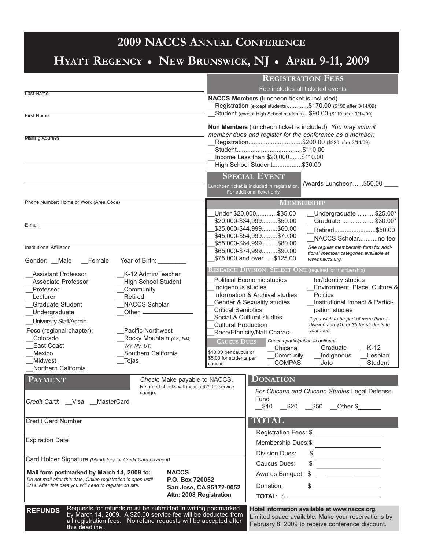## **2009 NACCS ANNUAL CONFERENCE**

# **HYATT REGENCY NEW BRUNSWICK, NJ APRIL 9-11, 2009**

|                                                                                                                                                                                                                                                                                                                                                                                                                                                     |                                                                                                                                                                                                    |                                                                               | <b>REGISTRATION FEES</b><br>Fee includes all ticketed events                                                                                                                                                                                                                                                                                                                                                                                                                                                                                                                                                                                                                                                                                                                                                   |                             |                                                                                                                                                                                                |                                                                                                                                                                                                                                                                                                                                                                                                                          |                                                                                      |
|-----------------------------------------------------------------------------------------------------------------------------------------------------------------------------------------------------------------------------------------------------------------------------------------------------------------------------------------------------------------------------------------------------------------------------------------------------|----------------------------------------------------------------------------------------------------------------------------------------------------------------------------------------------------|-------------------------------------------------------------------------------|----------------------------------------------------------------------------------------------------------------------------------------------------------------------------------------------------------------------------------------------------------------------------------------------------------------------------------------------------------------------------------------------------------------------------------------------------------------------------------------------------------------------------------------------------------------------------------------------------------------------------------------------------------------------------------------------------------------------------------------------------------------------------------------------------------------|-----------------------------|------------------------------------------------------------------------------------------------------------------------------------------------------------------------------------------------|--------------------------------------------------------------------------------------------------------------------------------------------------------------------------------------------------------------------------------------------------------------------------------------------------------------------------------------------------------------------------------------------------------------------------|--------------------------------------------------------------------------------------|
|                                                                                                                                                                                                                                                                                                                                                                                                                                                     |                                                                                                                                                                                                    |                                                                               |                                                                                                                                                                                                                                                                                                                                                                                                                                                                                                                                                                                                                                                                                                                                                                                                                |                             |                                                                                                                                                                                                |                                                                                                                                                                                                                                                                                                                                                                                                                          |                                                                                      |
| <b>Last Name</b><br><b>First Name</b>                                                                                                                                                                                                                                                                                                                                                                                                               |                                                                                                                                                                                                    |                                                                               | NACCS Members (luncheon ticket is included)<br>Registration (except students)\$170.00 (\$190 after 3/14/09)<br>Student (except High School students)\$90.00 (\$110 after 3/14/09)<br><b>Non Members</b> (luncheon ticket is included) You may submit<br>member dues and register for the conference as a member.<br>Registration\$200.00 (\$220 after 3/14/09)<br>Income Less than \$20,000\$110.00<br>High School Student\$30.00                                                                                                                                                                                                                                                                                                                                                                              |                             |                                                                                                                                                                                                |                                                                                                                                                                                                                                                                                                                                                                                                                          |                                                                                      |
| <b>Mailing Address</b>                                                                                                                                                                                                                                                                                                                                                                                                                              |                                                                                                                                                                                                    |                                                                               |                                                                                                                                                                                                                                                                                                                                                                                                                                                                                                                                                                                                                                                                                                                                                                                                                |                             |                                                                                                                                                                                                |                                                                                                                                                                                                                                                                                                                                                                                                                          |                                                                                      |
|                                                                                                                                                                                                                                                                                                                                                                                                                                                     |                                                                                                                                                                                                    |                                                                               | <b>SPECIAL EVENT</b><br>Lunchoen ticket is included in registration.                                                                                                                                                                                                                                                                                                                                                                                                                                                                                                                                                                                                                                                                                                                                           | For additional ticket only. |                                                                                                                                                                                                | Awards Luncheon\$50.00                                                                                                                                                                                                                                                                                                                                                                                                   |                                                                                      |
| Phone Number: Home or Work (Area Code)                                                                                                                                                                                                                                                                                                                                                                                                              |                                                                                                                                                                                                    |                                                                               |                                                                                                                                                                                                                                                                                                                                                                                                                                                                                                                                                                                                                                                                                                                                                                                                                |                             | <b>MEMBERSHIP</b>                                                                                                                                                                              |                                                                                                                                                                                                                                                                                                                                                                                                                          |                                                                                      |
| E-mail<br><b>Institutional Affiliation</b>                                                                                                                                                                                                                                                                                                                                                                                                          |                                                                                                                                                                                                    |                                                                               |                                                                                                                                                                                                                                                                                                                                                                                                                                                                                                                                                                                                                                                                                                                                                                                                                |                             | Under \$20,000\$35.00<br>\$20,000-\$34,999\$50.00<br>\$35,000-\$44,999\$60.00<br>\$45,000-\$54,999\$70.00<br>\$55,000-\$64,999\$80.00<br>\$65,000-\$74,999\$90.00<br>\$75,000 and over\$125.00 | See regular membership form for addi-<br>tional member categories available at                                                                                                                                                                                                                                                                                                                                           | Undergraduate \$25.00*<br>Graduate \$30.00*<br>Retired\$50.00<br>NACCS Scholarno fee |
| Gender: __Male<br>Female                                                                                                                                                                                                                                                                                                                                                                                                                            | Year of Birth:                                                                                                                                                                                     |                                                                               |                                                                                                                                                                                                                                                                                                                                                                                                                                                                                                                                                                                                                                                                                                                                                                                                                |                             |                                                                                                                                                                                                | www.naccs.org.                                                                                                                                                                                                                                                                                                                                                                                                           |                                                                                      |
| K-12 Admin/Teacher<br><b>Assistant Professor</b><br>Associate Professor<br><b>High School Student</b><br>Professor<br>Community<br>Retired<br>Lecturer<br><b>NACCS Scholar</b><br><b>Graduate Student</b><br>Undergraduate<br>Other $-$<br>University Staff/Admin<br><b>Pacific Northwest</b><br>Foco (regional chapter):<br>Rocky Mountain (AZ, NM,<br>Colorado<br>East Coast<br>WY, NV, UT)<br>Southern California<br>Mexico<br>Midwest<br>_Tejas |                                                                                                                                                                                                    |                                                                               | $\overline{\text{RESEARCH DIVISION: SELECT ONE}$ (required for membership)<br><b>Political Economic studies</b><br>ter/Identity studies<br>Indigenous studies<br>Environment, Place, Culture &<br>Information & Archival studies<br><b>Politics</b><br>Institutional Impact & Partici-<br><b>Gender &amp; Sexuality studies</b><br><b>Critical Semiotics</b><br>pation studies<br>Social & Cultural studies<br>If you wish to be part of more than 1<br><b>Cultural Production</b><br>division add \$10 or \$5 for students to<br>vour fees.<br>Race/Ethnicity/Natl Charac-<br>Caucus participation is optional<br><b>CAUCUS DUES</b><br>$K-12$<br>Chicana<br>Graduate<br>\$10.00 per caucus or<br>Lesbian<br>Community<br>Indigenous<br>\$5.00 for students per<br><b>COMPAS</b><br>Student<br>Joto<br>caucus |                             |                                                                                                                                                                                                |                                                                                                                                                                                                                                                                                                                                                                                                                          |                                                                                      |
|                                                                                                                                                                                                                                                                                                                                                                                                                                                     |                                                                                                                                                                                                    |                                                                               |                                                                                                                                                                                                                                                                                                                                                                                                                                                                                                                                                                                                                                                                                                                                                                                                                |                             |                                                                                                                                                                                                |                                                                                                                                                                                                                                                                                                                                                                                                                          |                                                                                      |
| Northern California                                                                                                                                                                                                                                                                                                                                                                                                                                 |                                                                                                                                                                                                    |                                                                               |                                                                                                                                                                                                                                                                                                                                                                                                                                                                                                                                                                                                                                                                                                                                                                                                                |                             |                                                                                                                                                                                                |                                                                                                                                                                                                                                                                                                                                                                                                                          |                                                                                      |
| <b>PAYMENT</b><br>Credit Card: __Visa __ MasterCard                                                                                                                                                                                                                                                                                                                                                                                                 | charge.                                                                                                                                                                                            | Check: Make payable to NACCS.<br>Returned checks will incur a \$25.00 service |                                                                                                                                                                                                                                                                                                                                                                                                                                                                                                                                                                                                                                                                                                                                                                                                                | Fund                        | <b>DONATION</b>                                                                                                                                                                                | For Chicana and Chicano Studies Legal Defense<br>__\$10 __\$20 __\$50 __Other \$______                                                                                                                                                                                                                                                                                                                                   |                                                                                      |
| <b>Credit Card Number</b>                                                                                                                                                                                                                                                                                                                                                                                                                           |                                                                                                                                                                                                    |                                                                               |                                                                                                                                                                                                                                                                                                                                                                                                                                                                                                                                                                                                                                                                                                                                                                                                                |                             | <b>TOTAL</b>                                                                                                                                                                                   |                                                                                                                                                                                                                                                                                                                                                                                                                          |                                                                                      |
| <b>Expiration Date</b>                                                                                                                                                                                                                                                                                                                                                                                                                              |                                                                                                                                                                                                    |                                                                               |                                                                                                                                                                                                                                                                                                                                                                                                                                                                                                                                                                                                                                                                                                                                                                                                                |                             | Division Dues:                                                                                                                                                                                 | Registration Fees: \$ _______________________<br>Membership Dues:\$                                                                                                                                                                                                                                                                                                                                                      |                                                                                      |
| Card Holder Signature (Mandatory for Credit Card payment)                                                                                                                                                                                                                                                                                                                                                                                           |                                                                                                                                                                                                    |                                                                               |                                                                                                                                                                                                                                                                                                                                                                                                                                                                                                                                                                                                                                                                                                                                                                                                                |                             | Caucus Dues:                                                                                                                                                                                   | $\begin{array}{c c c c c c} \hline \texttt{S} & \texttt{S} & \texttt{S} & \texttt{S} & \texttt{S} & \texttt{S} & \texttt{S} & \texttt{S} & \texttt{S} & \texttt{S} & \texttt{S} & \texttt{S} & \texttt{S} & \texttt{S} & \texttt{S} & \texttt{S} & \texttt{S} & \texttt{S} & \texttt{S} & \texttt{S} & \texttt{S} & \texttt{S} & \texttt{S} & \texttt{S} & \texttt{S} & \texttt{S} & \texttt{S} & \texttt{S} & \texttt{$ |                                                                                      |
| Mail form postmarked by March 14, 2009 to:<br>Do not mail after this date, Online registration is open until<br>3/14. After this date you will need to register on site.                                                                                                                                                                                                                                                                            |                                                                                                                                                                                                    | <b>NACCS</b><br>P.O. Box 720052<br>Attn: 2008 Registration                    | San Jose, CA 95172-0052                                                                                                                                                                                                                                                                                                                                                                                                                                                                                                                                                                                                                                                                                                                                                                                        |                             | Donation:                                                                                                                                                                                      | $\frac{1}{2}$<br>Awards Banquet: \$<br>$\frac{1}{2}$<br>TOTAL: \$                                                                                                                                                                                                                                                                                                                                                        |                                                                                      |
| <b>REFUNDS</b><br>this deadline.                                                                                                                                                                                                                                                                                                                                                                                                                    | Requests for refunds must be submitted in writing postmarked<br>by March 14, 2009. A \$25.00 service fee will be deducted from<br>all registration fees. No refund requests will be accepted after |                                                                               |                                                                                                                                                                                                                                                                                                                                                                                                                                                                                                                                                                                                                                                                                                                                                                                                                |                             |                                                                                                                                                                                                | Hotel information available at www.naccs.org.<br>Limited space available. Make your reservations by<br>February 8, 2009 to receive conference discount.                                                                                                                                                                                                                                                                  |                                                                                      |